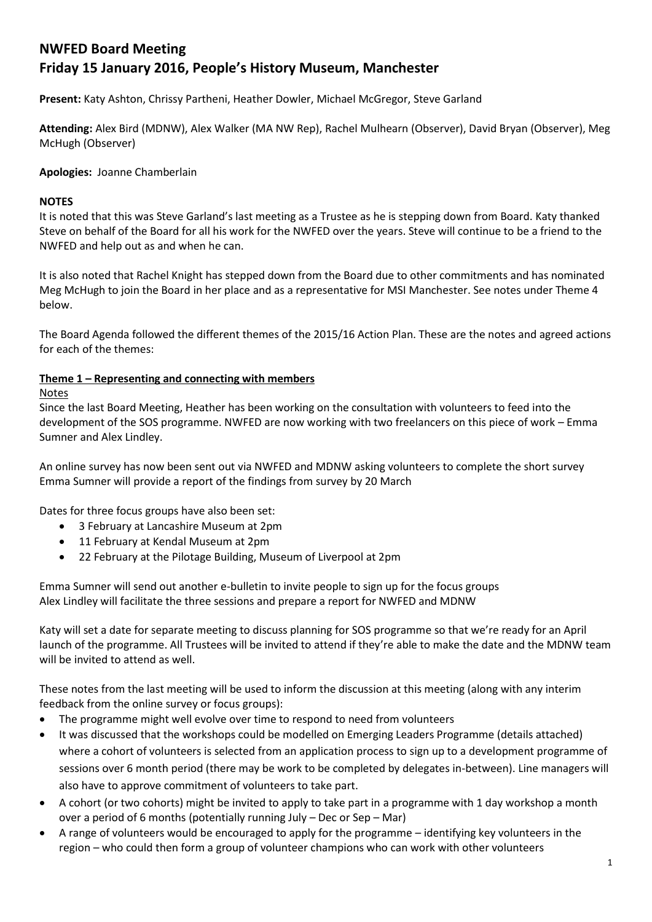# **NWFED Board Meeting Friday 15 January 2016, People's History Museum, Manchester**

**Present:** Katy Ashton, Chrissy Partheni, Heather Dowler, Michael McGregor, Steve Garland

**Attending:** Alex Bird (MDNW), Alex Walker (MA NW Rep), Rachel Mulhearn (Observer), David Bryan (Observer), Meg McHugh (Observer)

**Apologies:** Joanne Chamberlain

## **NOTES**

It is noted that this was Steve Garland's last meeting as a Trustee as he is stepping down from Board. Katy thanked Steve on behalf of the Board for all his work for the NWFED over the years. Steve will continue to be a friend to the NWFED and help out as and when he can.

It is also noted that Rachel Knight has stepped down from the Board due to other commitments and has nominated Meg McHugh to join the Board in her place and as a representative for MSI Manchester. See notes under Theme 4 below.

The Board Agenda followed the different themes of the 2015/16 Action Plan. These are the notes and agreed actions for each of the themes:

## **Theme 1 – Representing and connecting with members**

## Notes

Since the last Board Meeting, Heather has been working on the consultation with volunteers to feed into the development of the SOS programme. NWFED are now working with two freelancers on this piece of work – Emma Sumner and Alex Lindley.

An online survey has now been sent out via NWFED and MDNW asking volunteers to complete the short survey Emma Sumner will provide a report of the findings from survey by 20 March

Dates for three focus groups have also been set:

- 3 February at Lancashire Museum at 2pm
- 11 February at Kendal Museum at 2pm
- 22 February at the Pilotage Building, Museum of Liverpool at 2pm

Emma Sumner will send out another e-bulletin to invite people to sign up for the focus groups Alex Lindley will facilitate the three sessions and prepare a report for NWFED and MDNW

Katy will set a date for separate meeting to discuss planning for SOS programme so that we're ready for an April launch of the programme. All Trustees will be invited to attend if they're able to make the date and the MDNW team will be invited to attend as well.

These notes from the last meeting will be used to inform the discussion at this meeting (along with any interim feedback from the online survey or focus groups):

- The programme might well evolve over time to respond to need from volunteers
- It was discussed that the workshops could be modelled on Emerging Leaders Programme (details attached) where a cohort of volunteers is selected from an application process to sign up to a development programme of sessions over 6 month period (there may be work to be completed by delegates in-between). Line managers will also have to approve commitment of volunteers to take part.
- A cohort (or two cohorts) might be invited to apply to take part in a programme with 1 day workshop a month over a period of 6 months (potentially running July – Dec or Sep – Mar)
- A range of volunteers would be encouraged to apply for the programme identifying key volunteers in the region – who could then form a group of volunteer champions who can work with other volunteers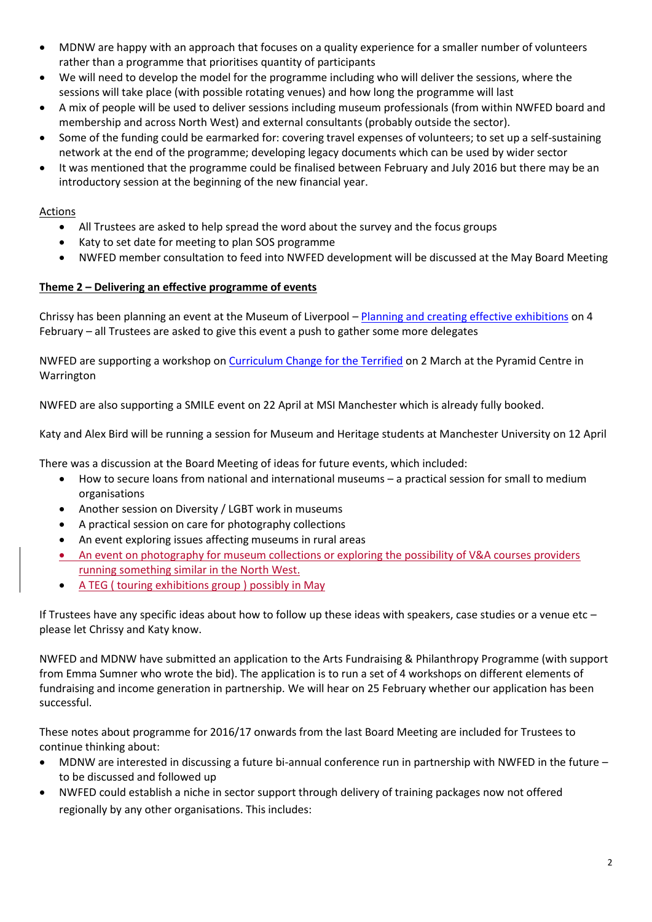- MDNW are happy with an approach that focuses on a quality experience for a smaller number of volunteers rather than a programme that prioritises quantity of participants
- We will need to develop the model for the programme including who will deliver the sessions, where the sessions will take place (with possible rotating venues) and how long the programme will last
- A mix of people will be used to deliver sessions including museum professionals (from within NWFED board and membership and across North West) and external consultants (probably outside the sector).
- Some of the funding could be earmarked for: covering travel expenses of volunteers; to set up a self-sustaining network at the end of the programme; developing legacy documents which can be used by wider sector
- It was mentioned that the programme could be finalised between February and July 2016 but there may be an introductory session at the beginning of the new financial year.

#### Actions

- All Trustees are asked to help spread the word about the survey and the focus groups
- Katy to set date for meeting to plan SOS programme
- NWFED member consultation to feed into NWFED development will be discussed at the May Board Meeting

## **Theme 2 – Delivering an effective programme of events**

Chrissy has been planning an event at the Museum of Liverpool – [Planning and creating effective exhibitions](http://www.nwfed.org.uk/planning-and-creating-effective-exhibitions-to-attract-new-audiences-refresh-your-offer-and-develop-flexible-exhibition-spaces-7696.html) on 4 February – all Trustees are asked to give this event a push to gather some more delegates

NWFED are supporting a workshop on [Curriculum Change for the Terrified](http://www.nwfed.org.uk/curriculum-change-for-the-terrified-2nd-march-2016-10-30-4-30-the-pyramid-and-parr-hall-warrington-7830.html) on 2 March at the Pyramid Centre in Warrington

NWFED are also supporting a SMILE event on 22 April at MSI Manchester which is already fully booked.

Katy and Alex Bird will be running a session for Museum and Heritage students at Manchester University on 12 April

There was a discussion at the Board Meeting of ideas for future events, which included:

- How to secure loans from national and international museums a practical session for small to medium organisations
- Another session on Diversity / LGBT work in museums
- A practical session on care for photography collections
- An event exploring issues affecting museums in rural areas
- An event on photography for museum collections or exploring the possibility of V&A courses providers running something similar in the North West.
- A TEG ( touring exhibitions group ) possibly in May

If Trustees have any specific ideas about how to follow up these ideas with speakers, case studies or a venue etc – please let Chrissy and Katy know.

NWFED and MDNW have submitted an application to the Arts Fundraising & Philanthropy Programme (with support from Emma Sumner who wrote the bid). The application is to run a set of 4 workshops on different elements of fundraising and income generation in partnership. We will hear on 25 February whether our application has been successful.

These notes about programme for 2016/17 onwards from the last Board Meeting are included for Trustees to continue thinking about:

- MDNW are interested in discussing a future bi-annual conference run in partnership with NWFED in the future to be discussed and followed up
- NWFED could establish a niche in sector support through delivery of training packages now not offered regionally by any other organisations. This includes: